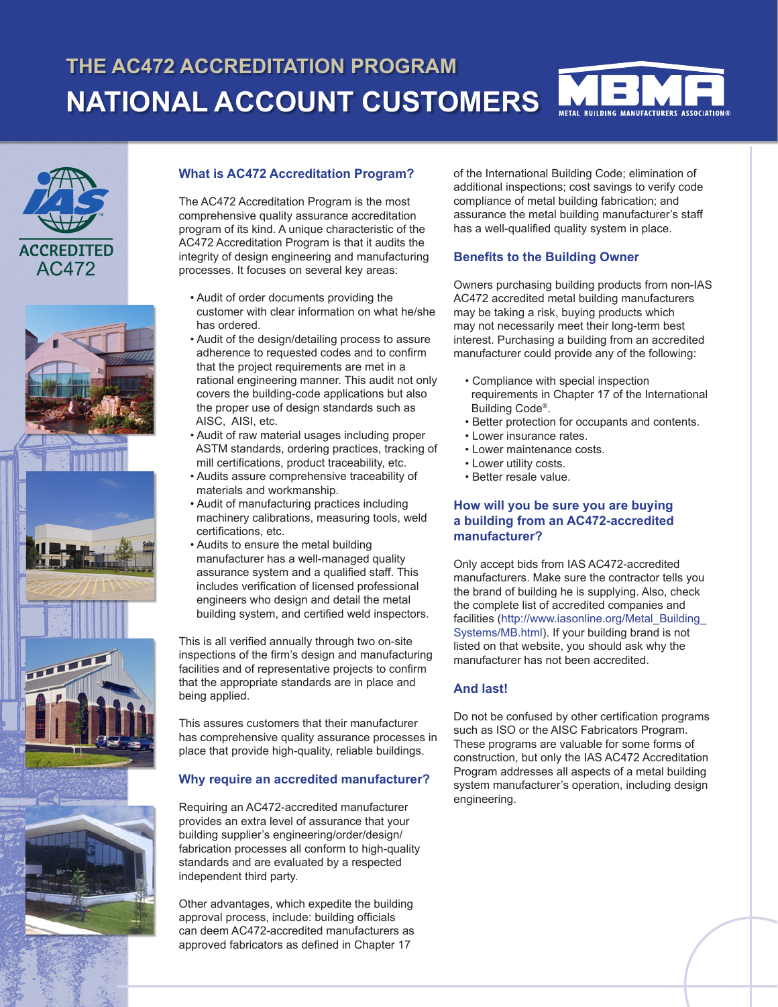# **THE AC472 ACCREDITATION PROGRAM NATIONAL ACCOUNT CUSTOMERS**













## **What is AC472 Accreditation Program?**

The AC472 Accreditation Program is the most comprehensive quality assurance accreditation program of its kind. A unique characteristic of the AC472 Accreditation Program is that it audits the integrity of design engineering and manufacturing processes. It focuses on several key areas:

- Audit of order documents providing the customer with clear information on what he/she has ordered.
- Audit of the design/detailing process to assure adherence to requested codes and to confirm that the project requirements are met in a rational engineering manner. This audit not only covers the building-code applications but also the proper use of design standards such as AISC, AISI, etc.
- Audit of raw material usages including proper ASTM standards, ordering practices, tracking of mill certifications, product traceability, etc.
- Audits assure comprehensive traceability of materials and workmanship.
- Audit of manufacturing practices including machinery calibrations, measuring tools, weld certifications, etc.
- Audits to ensure the metal building manufacturer has a well-managed quality assurance system and a qualified staff. This includes verification of licensed professional engineers who design and detail the metal building system, and certified weld inspectors.

This is all verified annually through two on-site inspections of the firm's design and manufacturing facilities and of representative projects to confirm that the appropriate standards are in place and being applied.

This assures customers that their manufacturer has comprehensive quality assurance processes in place that provide high-quality, reliable buildings.

#### **Why require an accredited manufacturer?**

Requiring an AC472-accredited manufacturer provides an extra level of assurance that your building supplier's engineering/order/design/ fabrication processes all conform to high-quality standards and are evaluated by a respected independent third party.

Other advantages, which expedite the building approval process, include: building officials can deem AC472-accredited manufacturers as approved fabricators as defined in Chapter 17

of the International Building Code; elimination of additional inspections; cost savings to verify code compliance of metal building fabrication; and assurance the metal building manufacturer's staff has a well-qualified quality system in place.

#### **Benefits to the Building Owner**

Owners purchasing building products from non-IAS AC472 accredited metal building manufacturers may be taking a risk, buying products which may not necessarily meet their long-term best interest. Purchasing a building from an accredited manufacturer could provide any of the following:

- Compliance with special inspection requirements in Chapter 17 of the International Building Code®.
- Better protection for occupants and contents.
- Lower insurance rates.
- Lower maintenance costs.
- Lower utility costs.
- Better resale value.

#### **How will you be sure you are buying a building from an AC472-accredited manufacturer?**

Only accept bids from IAS AC472-accredited manufacturers. Make sure the contractor tells you the brand of building he is supplying. Also, check the complete list of accredited companies and facilities (http://www.iasonline.org/Metal\_Building Systems/MB.html). If your building brand is not listed on that website, you should ask why the manufacturer has not been accredited.

## **And last!**

Do not be confused by other certification programs such as ISO or the AISC Fabricators Program. These programs are valuable for some forms of construction, but only the IAS AC472 Accreditation Program addresses all aspects of a metal building system manufacturer's operation, including design engineering.